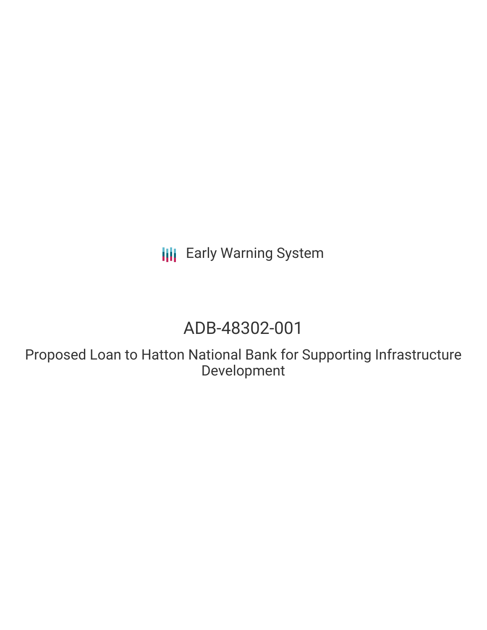**III** Early Warning System

# ADB-48302-001

Proposed Loan to Hatton National Bank for Supporting Infrastructure Development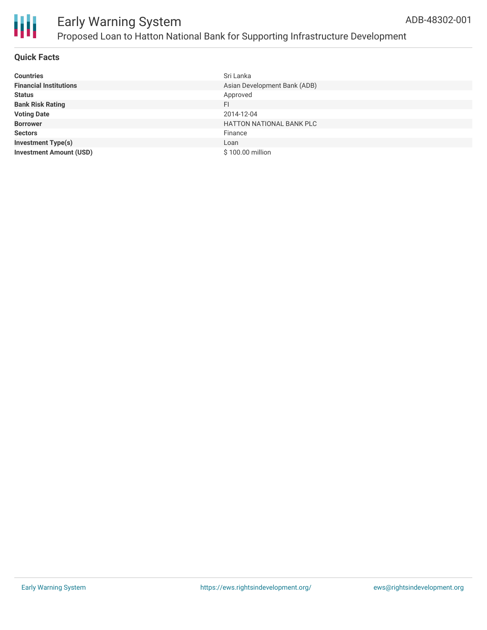



# Early Warning System Proposed Loan to Hatton National Bank for Supporting Infrastructure Development

### **Quick Facts**

| <b>Countries</b>               | Sri Lanka                       |
|--------------------------------|---------------------------------|
| <b>Financial Institutions</b>  | Asian Development Bank (ADB)    |
| <b>Status</b>                  | Approved                        |
| <b>Bank Risk Rating</b>        | FI                              |
| <b>Voting Date</b>             | 2014-12-04                      |
| <b>Borrower</b>                | <b>HATTON NATIONAL BANK PLC</b> |
| <b>Sectors</b>                 | Finance                         |
| <b>Investment Type(s)</b>      | Loan                            |
| <b>Investment Amount (USD)</b> | \$100.00 million                |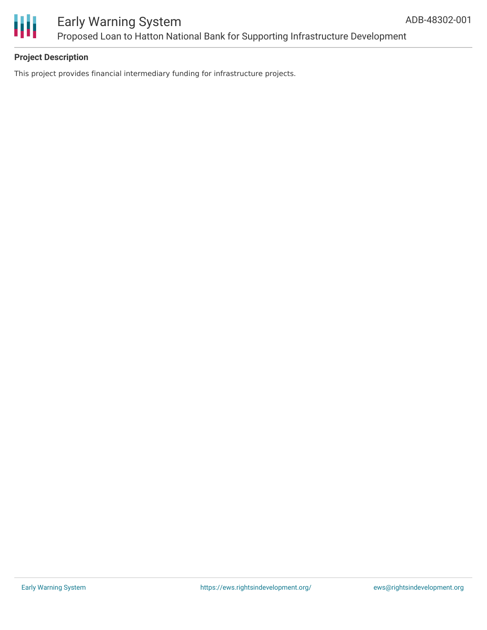

### Early Warning System Proposed Loan to Hatton National Bank for Supporting Infrastructure Development

### **Project Description**

This project provides financial intermediary funding for infrastructure projects.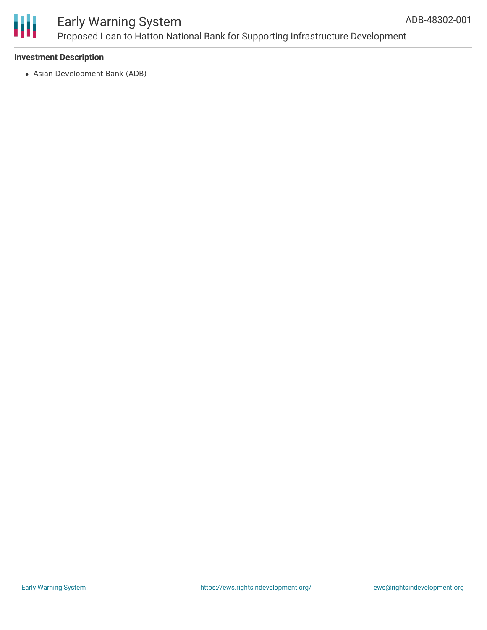

### Early Warning System Proposed Loan to Hatton National Bank for Supporting Infrastructure Development

### **Investment Description**

Asian Development Bank (ADB)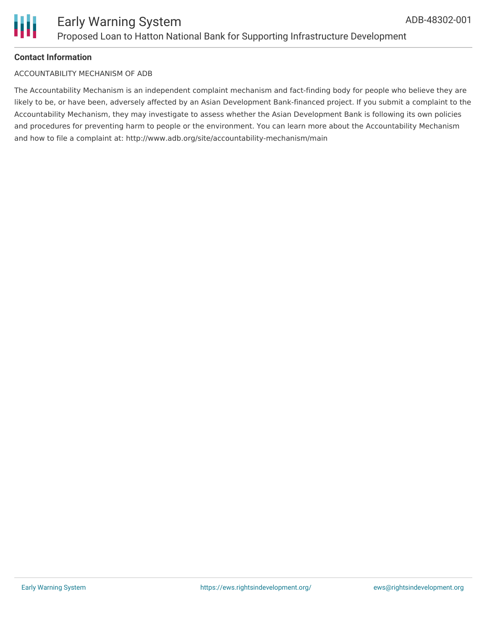

### **Contact Information**

#### ACCOUNTABILITY MECHANISM OF ADB

The Accountability Mechanism is an independent complaint mechanism and fact-finding body for people who believe they are likely to be, or have been, adversely affected by an Asian Development Bank-financed project. If you submit a complaint to the Accountability Mechanism, they may investigate to assess whether the Asian Development Bank is following its own policies and procedures for preventing harm to people or the environment. You can learn more about the Accountability Mechanism and how to file a complaint at: http://www.adb.org/site/accountability-mechanism/main